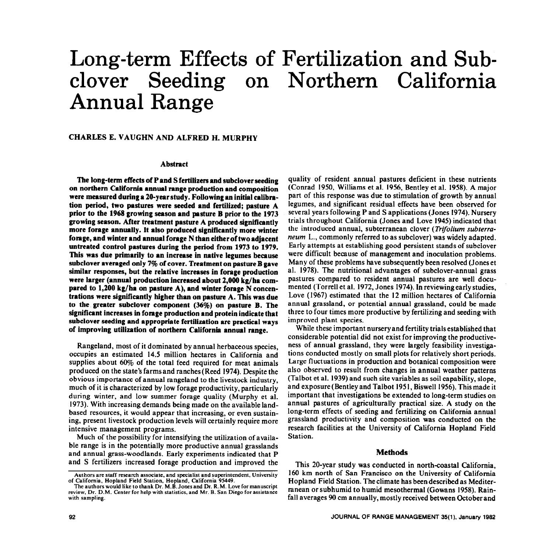# Long-term Effects of Fertilization and Subclover Seeding on Northern California Annual Range

## CHARLES E. VAUGHN AND ALFRED H. MURPHY

#### **Abstract**

**The long-term effects of** P **and S fertilizers and subclover seeding on northern California annual range production and composition were measured during a 20-year study. Following an initial calibration period, two pastures were seeded and fertilized; pasture** A **prior to the 1968 growing season and pasture** B **prior to the 1973 growing season. After treatment pasture** A **produced significantly more forage annually. It also produced significantly more winter forage, and winter and annual forage N than either of two adjacent untreated control pastures during the period from 1973 to 1979. This was due primarily to an increase in native legumes because subclover averaged only 7% of cover. Treatment on pasture B gave similar responses, but the relative increases in forage production were larger (annual production increased about 2,000 kg/ha compared to 1,200 kg/ha on pasture** A), **and winter forage N concentrations were significantly higher than on pasture** A. **This was due to the greater subclover component (36%) on pasture** B. **The significant increases ln forage production and protein indicate that subclover seeding and appropriate fertilization are practical ways of improving utilization of northern California annual range.** 

Rangeland, most of it dominated by annual herbaceous species, occupies an estimated 14.5 million hectares in California and supplies about 60% of the total feed required for meat animals produced on the state's farms and ranches (Reed 1974). Despite the obvious importance of annual rangeland to the livestock industry, much of it is characterized by low forage productivity, particularly during winter, and low summer forage quality (Murphy et al. 1973). With increasing demands being made on the available landbased resources, it would appear that increasing, or even sustaining, present livestock production levels will certainly require more intensive management programs.

Much of the possibility for intensifying the utilization of available range is in the potentially more productive annual grasslands and annual grass-woodlands. Early experiments indicated that P and S fertilizers increased forage production and improved the

quality of resident annual pastures deficient in these nutrients (Conrad 1950, Williams et al. 1956, Bentley et al. 1958). A major part of this response was due to stimulation of growth by annual legumes, and significant residual effects have been observed for several years following P and S applications (Jones 1974). Nursery trials throughout California (Jones and Love 1945) indicated that the introduced annual, subterranean clover (Trifolium subterra*neum* L., commonly referred to as subclover) was widely adapted. Early attempts at establishing good persistent stands of subclover were difficult because of management and inoculation problems. Many of these problems have subsequently been resolved (Jones et al. 1978). The nutritional advantages of subclover-annual grass pastures compared to resident annual pastures are well documented (Torrell et al. 1972, Jones 1974). In reviewing early studies, Love (1967) estimated that the 12 million hectares of California annual grassland, or potential annual grassland, could be made three to four times more productive by fertilizing and seeding with improved plant species.

While these important nursery **and** fertility trials established that considerable potential did not exist for improving the productiveness of annual grassland, they were largely feasibility investigations conducted mostly on small plots for relatively short periods. Large fluctuations in production and botanical composition were also observed to result from changes in annual weather patterns (Talbot et al. 1939) and such site variables as soil capability, slope, and exposure (Bentley and Talbot I95 1, Biswell 1956). This made it important that investigations be extended to long-term studies on annual pastures of agriculturally practical size. A study on the long-term effects of seeding and fertilizing on California annual grassland productivity and composition was conducted on the research facilities at the University of California Hopland Field Station.

#### **Methods**

This 20-year study was conducted in north-coastal California, 160 km north of San Francisco on the University of California Hopland Field Station. The climate has been described as Mediterranean or subhumid to humid mesothermal (Gowans 1958). Rainfall averages 90 cm annually, mostly received between October and

**Authors are staff research associate, and specialist and superintendent, University of California, Hopland Field Station, Hopland. California 95449.** 

The authors would like to thank Dr. M.B. Jones and Dr. R.M. Love for manuscript **review, Dr. D.M. Center for help with statistics, and Mr. B. San Diego for** assistance **with sampling.**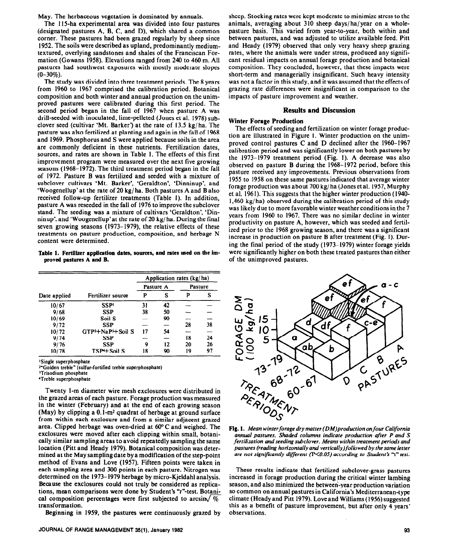May. The herbaceous vegetation is dominated by annuals.

The 115-ha experimental area was divided into four pastures (designated pastures A, B, C, and D), which shared a common corner. These pastures had been grazed regularly by sheep since 1952. The soils were described as upland, predominantly mediumtextured, overlying sandstones and shales of the Franciscan Formation (Gowans 1958). Elevations ranged from 240 to 460 m. All pastures had southwest exposures with mostly moderate slopes  $(0-30\%)$ .

The study was divided into three treatment periods. The 8 years from 1960 to 1967 comprised the calibration period. Botanical composition and both winter and annual production on the unimproved pastures were calibrated during this first period. The second period began in the fall of 1967 when pasture A was drill-seeded with inoculated, lime-pelleted (Jones et al. 1978) subclover seed (cultivar 'Mt. Barker') at the rate of 13.5 kg/ ha. The pasture was also fertilized at planting and again in the fall of 1968 and 1969. Phosphorus and S were applied because soils in the area are commonly deficient in these nutrients. Fertilization dates, sources, and rates are shown in Table 1. The effects of this first improvement program were measured over the next five growing seasons (1968-1972). The third treatment period began in the fall of 1972. Pasture B was fertilized and seeded with a mixture of subclover cultivars 'Mt. Barker', 'Geraldton', 'Dinninup', and 'Woogenellup'at the rate of 20 kg/ha. Both pastures A and B also received follow-up fertilizer treatments (Table I). In addition, pasture A was reseeded in the fall of 1976 to improve the subclover stand. The seeding was a mixture of cultivars 'Geraldton', 'Dinninup'. and 'Woogenellup'at the rate of 20 kg/ ha. During the final seven growing seasons (1973- 1979), the relative effects of these treatments on pasture production, composition, and herbage N content were determined.

Table 1. Fertilizer application dates, sources, and rates used on the im**proved pastures A and** B.

|              |                                            | Application rates (kg/ha) |    |         |    |
|--------------|--------------------------------------------|---------------------------|----|---------|----|
|              |                                            | Pasture A                 |    | Pasture |    |
| Date applied | Fertilizer source                          | P                         | s  | P       | s  |
| 10/67        | <b>SSPI</b>                                | 31                        | 42 |         |    |
| 9/68         | <b>SSP</b>                                 | 38                        | 50 |         |    |
| 10/69        | Soil S                                     |                           | 90 |         |    |
| 9/72         | <b>SSP</b>                                 |                           |    | 28      | 38 |
| 10/72        | GTP <sup>2</sup> +NaP <sup>3</sup> +Soil S | 17                        | 54 |         |    |
| 9/74         | <b>SSP</b>                                 |                           |    | 18      | 24 |
| 9/76         | SSP                                        | 9                         | 12 | 20      | 26 |
| 10/78        | TSP+Soil S                                 | 18                        | 90 | 19      | 97 |

**'Single superphosphate** 

**\*"Golden treble" (sulfur-fortified treble superphosphate)** 

**"Trisodium phosphate** 

**'Treble superphosphate** 

Twenty l-m diameter wire mesh exclosures were distributed in the grazed areas of each pasture. Forage production was measured in the winter (February) and at the end of each growing season (May) by clipping a  $0.1 \text{-} m^2$  quadrat of herbage at ground surface from within each exclosure and from a similar adjacent grazed area. Clipped herbage was oven-dried at  $60^{\circ}$ C and weighed. The exclosures were moved after each clipping within small, botanically similar sampling areas to avoid repeatedly sampling the same location (Pitt and Heady 1979). Botanical composition was determined at the May sampling date by a modification of the step-point method of Evans and Love (1957). Fifteen points were taken in each sampling area and 300 points in each pasture. Nitrogen was determined on the 1973- 1979 herbage by micro-Kjeldahl analysis. Because the exclosures could not truly be considered as replications, mean comparisons were done by Student's "1''-test. Botanical composition percentages were first subjected to arcsin $\sqrt{\%}$ transformation.

Beginning in 1959, the pastures were continuously grazed by

sheep. Stocking rates were kept moderate to minimize stress to the animals, averaging about 310 sheep days/ha/year on a wholepasture basis. This varied from year-to-year, both within and between pastures, and was adjusted to utilize available feed. Pitt and Heady (1979) observed that only very heavy sheep grazing rates, where the animals were under stress, produced any significant residual impacts on annual forage production and botanical composition. They concluded, however, that these impacts were short-term and managerially insignificant. Such heavy intensity was not a factor in this study, and it was assumed that the effects of grazing rate differences were insignificant in comparison to the impacts of pasture improvement and weather.

#### **Results and Discussion**

#### **Winter** Forage **Production**

The effects of seeding and fertilization on winter forage production are illustrated in Figure I. Winter production on the unimproved control pastures C and D declined after the 1960-1967 calibration period and was significantly lower on both pastures by the 1973-1979 treatment period (Fig. 1). A decrease was also observed on pasture B during the 1968-1972 period, before this pasture received any improvements. Previous observations from 1955 to 1958 on these same pastures indicated that average winter forage production was about 700 kg/ ha (Jones et al. 1957, Murphy et al. 1961). This suggests that the higher winter production (1940-  $1,460 \text{ kg/ha}$ ) observed during the calibration period of this study was likely due to more favorable winter weather conditions in the 7 years from 1960 to 1967. There was no similar decline in winter productivity on pasture A, however, which was seeded and fertilized prior to the 1968 growing season, and there was a significant increase in production on pasture B after treatment (Fig. 1). During the final period of the study (1973-1979) winter forage yields were significantly higher on both these treated pastures than either of the unimproved pastures.



annual pastures. Shaded columns indicate production after P and S *fertilization and seeding subclover. Means within treatment periods and pastures (reading horizontally and vertically)followed by the same letter are not significantly different (P<0.05) according to Student's "t" test.* 

These results indicate that fertilized subclover-grass pastures increased in forage production during the critical winter lambing season, and also minimized the between-year production variation so common on annual pastures in California's Mediterranean-type climate (Heady and Pitt 1979). Love and Williams (1956) suggested this as a benefit of pasture improvement, but after only 4 years' observations.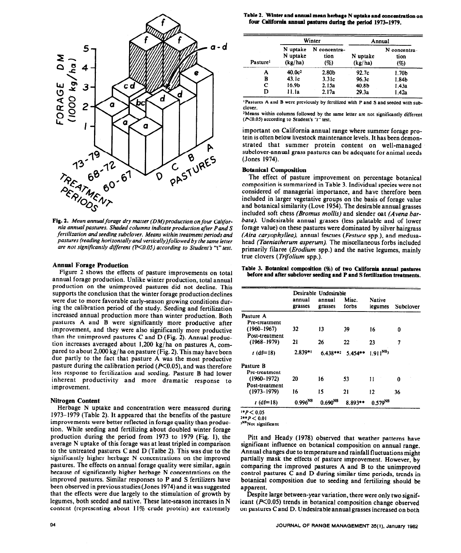

*nia* annual *pastures. Shaded columns indicate production after Pond S fertilization and seeding subclover. Means within treatment periods and pastures (reading horizontally and vertically)follo wed by the same letter*  are not significantly different (P<0.05) according to Student's "t" test.

#### **Annual Forage Production**

Figure 2 shows the effects of pasture improvements on total annual forage production. Unlike winter production, total annual production on the unimproved pastures did not decline. This supports the conclusion that the winter forage productiondeclines were due to more favorable early-season growing conditions during the calibration period of the study. Seeding and fertilization increased annual production more than winter production. Both pastures A and B were significantly more productive after improvement, and they were also significantly more productive than the unimproved pastures C and D (Fig. 2). Annual production increases averaged about 1,200 kg/ha on pastures A, compared to about 2,000 kg/ ha on pasture (Fig. 2). This may have been due partly to the fact that pasture A was the most productive pasture during the calibration period ( $P<0.05$ ), and was therefore less response to fertilization and seeding. Pasture B had lower inherent productivity and more dramatic response to improvement.

**Nitrogen Content** t (df=l8) Herbage N uptake and concentration were measured during 1973-1979 (Table 2). It appeared that the benefits of the pasture improvements were better reflected in forage quality than production. While seeding and fertilizing about doubled winter forage production during the period from 1973 to 1979 (Fig. l), the average N uptake of this forage was at least tripled in comparison to the untreated pastures C and D (Talbe 2). This was due to the significantly higher herbage N concentrations on the improved pastures. The effects on annual forage quality were similar, again because of significantly higher herbage N concentrations on the improved pastures. Similar responses to P and S fertilizers have been observed in previous studies (Jones 1974) and it was suggested that the effects were due largely to the stimulation of growth by legumes, both seeded and native. These late-season increases in N content (representing about 11% crude protein) are extremely

| <b>Pasture</b> <sup>1</sup> | Winter                          |                             | Annual              |                             |  |
|-----------------------------|---------------------------------|-----------------------------|---------------------|-----------------------------|--|
|                             | N uptake<br>N uptake<br>(kg/ha) | N concentra-<br>tion<br>(%) | N uptake<br>(kg/ha) | N concentra-<br>tion<br>(%) |  |
| А                           | 40.0c <sup>2</sup>              | 2.80 <sub>b</sub>           | 92.7 <sub>c</sub>   | 1.70 <sub>b</sub>           |  |
| B                           | 43.1c                           | 3.31c                       | 96.3c               | 1.84 <sub>b</sub>           |  |
| С                           | 16.9 <sub>b</sub>               | 2.15a                       | 40.8 <sub>b</sub>   | 1.43a                       |  |
| D                           | 11. la                          | 2.17a                       | 29.3a               | 1.42a                       |  |

*1Pastures* **A and B were previously by** fertilized with P **and S and seeded with subclover.** 

**2Means within columns followed by the same letter are not significantly different (KO.05) according to Student's "I" test.** 

important on California annual range where summer forage protein is often below livestock maintenance levels. It has been demonstrated that summer protein content on well-managed subclover-annual grass pastures can be adequate for animal needs (Jones 1974).

#### **Botanical Composition**

The effect of pasture improvement on percentage botanical composition is summarized in Table 3. Individual species were not considered of managerial importance, and have therefore been included in larger vegetative groups on the basis of forage value and botanical similarity (Love 1954). The desirable annual grasses included soft chess *(Bromus mollis)* and slender oat *(Avena barbata).* Undesirable annual grasses (less palatable and of lower forage value) on these pastures were dominated by silver hairgrass *(Aira caryophyllea),* annual fescues *(Festuca* spp.), and medusahead *(Taeniatherum asperum).* The miscellaneous forbs included primarily filaree *(Erodium* spp.) and the native legumes, mainly true clovers *(Trifolium* spp.).

**Table 3. Botanical composition (%) of two California annual** pastures before and after **subclover seeding and P and S fertilization treatments.** 

|                 | Desirable Undesirable |                   |                |                          |           |  |
|-----------------|-----------------------|-------------------|----------------|--------------------------|-----------|--|
|                 | annual<br>grasses     | annual<br>grasses | Misc.<br>forbs | <b>Native</b><br>legumes | Subclover |  |
| Pasture A       |                       |                   |                |                          |           |  |
| Pre-treatment   |                       |                   |                |                          |           |  |
| $(1960 - 1967)$ | 32                    | 13                | 39             | 16                       | 0         |  |
| Post-treatment  |                       |                   |                |                          |           |  |
| $(1968 - 1979)$ | 21                    | 26                | 22             | 23                       | 7         |  |
| $t$ (df=18)     | $2.839**$             | $6.438***2$       | $5.454**$      | $1.911^{NS_3}$           |           |  |
| Pasture B       |                       |                   |                |                          |           |  |
| Pre-treatment   |                       |                   |                |                          |           |  |
| $(1960 - 1972)$ | 20                    | 16                | 53             | 11                       | 0         |  |
| Post-treatment  |                       |                   |                |                          |           |  |
| $(1973 - 1979)$ | 16                    | 15                | 21             | 12                       | 36        |  |
| $t$ (df=18)     | $0.996^{NS}$          | $0.690^{NS}$      | $8.893**$      | $0.579^{NS}$             |           |  |

 $*P < 0.05$  $2**P < 0.01$ 

**JNsNot significant** 

Pitt and Heady (1978) observed that weather patterns have significant influence on botanical composition on annual range. Annual changes due to temperature and rainfall fluctuations might partially mask the effects of pasture improvement. However, by comparing the improved pastures A and B to the unimproved control pastures C and D during similar time periods, trends in botanical composition due to seeding and fertilizing should be apparent.

Despite large between-year variation, there were only two significant ( $P<0.05$ ) trends in botanical composition change observed on pastures C and D. Undesirable annual grasses increased on both